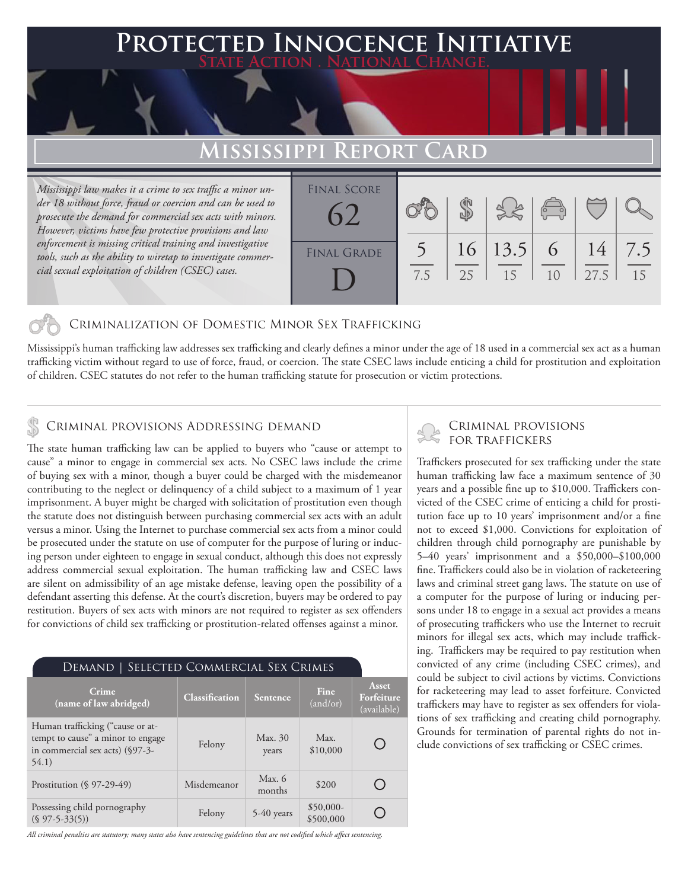## **Protected Innocence Initiative State Action . National Change.**

# **Mississippi Report Card**

*Mississippi law makes it a crime to sex traffic a minor under 18 without force, fraud or coercion and can be used to prosecute the demand for commercial sex acts with minors. However, victims have few protective provisions and law enforcement is missing critical training and investigative tools, such as the ability to wiretap to investigate commercial sexual exploitation of children (CSEC) cases.*

| <b>FINAL SCORE</b> |     |    |         |                                                |      |     |
|--------------------|-----|----|---------|------------------------------------------------|------|-----|
|                    |     |    |         | $\begin{pmatrix} 1 & 1 \\ 0 & 1 \end{pmatrix}$ |      |     |
|                    |     |    |         |                                                |      |     |
|                    |     |    |         |                                                |      |     |
| <b>FINAL GRADE</b> |     |    | 16 13.5 | 6                                              | 14   | 7.5 |
|                    |     |    |         |                                                |      |     |
|                    | 7.5 | 25 | 15      | 10                                             | 27.5 | 15  |
|                    |     |    |         |                                                |      |     |
|                    |     |    |         |                                                |      |     |

## Criminalization of Domestic Minor Sex Trafficking

Mississippi's human trafficking law addresses sex trafficking and clearly defines a minor under the age of 18 used in a commercial sex act as a human trafficking victim without regard to use of force, fraud, or coercion. The state CSEC laws include enticing a child for prostitution and exploitation of children. CSEC statutes do not refer to the human trafficking statute for prosecution or victim protections.

# CRIMINAL PROVISIONS ADDRESSING DEMAND<br>FOR TRAFFICKERS

The state human trafficking law can be applied to buyers who "cause or attempt to cause" a minor to engage in commercial sex acts. No CSEC laws include the crime of buying sex with a minor, though a buyer could be charged with the misdemeanor contributing to the neglect or delinquency of a child subject to a maximum of 1 year imprisonment. A buyer might be charged with solicitation of prostitution even though the statute does not distinguish between purchasing commercial sex acts with an adult versus a minor. Using the Internet to purchase commercial sex acts from a minor could be prosecuted under the statute on use of computer for the purpose of luring or inducing person under eighteen to engage in sexual conduct, although this does not expressly address commercial sexual exploitation. The human trafficking law and CSEC laws are silent on admissibility of an age mistake defense, leaving open the possibility of a defendant asserting this defense. At the court's discretion, buyers may be ordered to pay restitution. Buyers of sex acts with minors are not required to register as sex offenders for convictions of child sex trafficking or prostitution-related offenses against a minor.

#### Demand | Selected Commercial Sex Crimes **Asset Crime Crime**<br> **Classification Sentence Fine**<br>  $\begin{bmatrix} \text{Gaussification} \end{bmatrix}$  **Sentence**  $\begin{bmatrix} \text{Fine} \end{bmatrix}$ **Forfeiture**  (and/or) (available) Human trafficking ("cause or attempt to cause" a minor to engage Felony Max. 30 Max. O in commercial sex acts) (§97-3- \$10,000 years 54.1) Prostitution (§ 97-29-49) Misdemeanor Max. 6  $\bigcirc$  $m$ <sub>months</sub>  $$200$ Possessing child pornography<br>
(§ 97-5-33(5)) Felony 5-40 years \$500,000 O \$500,000

*All criminal penalties are statutory; many states also have sentencing guidelines that are not codified which affect sentencing.* 

# Criminal provisions

Traffickers prosecuted for sex trafficking under the state human trafficking law face a maximum sentence of 30 years and a possible fine up to \$10,000. Traffickers convicted of the CSEC crime of enticing a child for prostitution face up to 10 years' imprisonment and/or a fine not to exceed \$1,000. Convictions for exploitation of children through child pornography are punishable by 5–40 years' imprisonment and a \$50,000–\$100,000 fine. Traffickers could also be in violation of racketeering laws and criminal street gang laws. The statute on use of a computer for the purpose of luring or inducing persons under 18 to engage in a sexual act provides a means of prosecuting traffickers who use the Internet to recruit minors for illegal sex acts, which may include trafficking. Traffickers may be required to pay restitution when convicted of any crime (including CSEC crimes), and could be subject to civil actions by victims. Convictions for racketeering may lead to asset forfeiture. Convicted traffickers may have to register as sex offenders for violations of sex trafficking and creating child pornography. Grounds for termination of parental rights do not include convictions of sex trafficking or CSEC crimes.